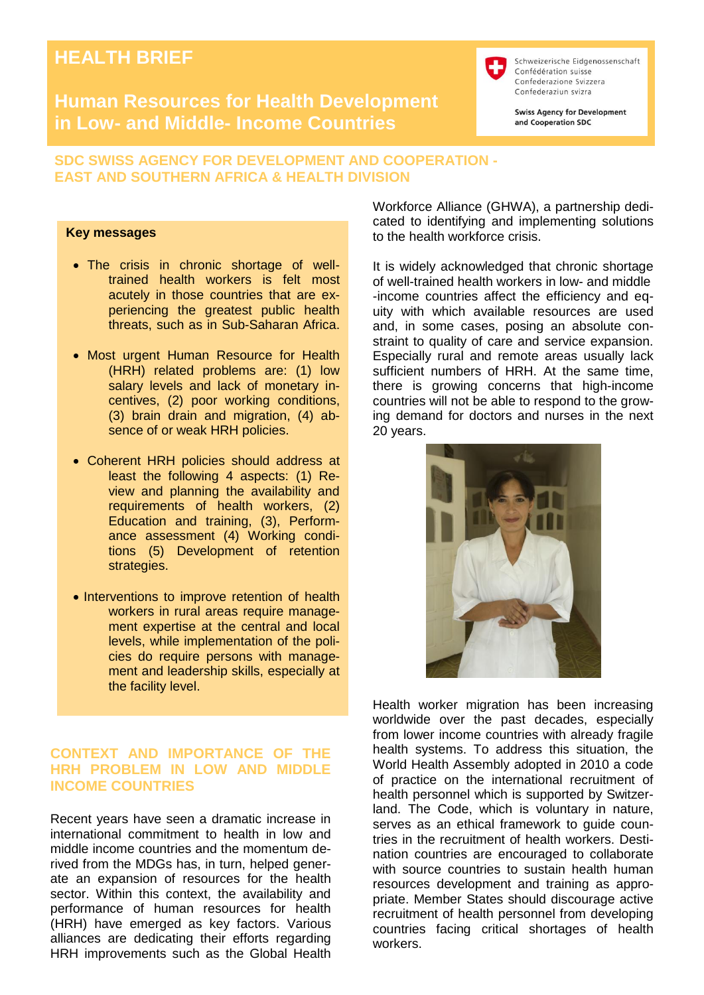# **HEALTH BRIEF**

## **Human Resources for Health Development in Low- and Middle- Income Countries**

Schweizerische Eidgenossenschaft Confédération suisse Confederazione Svizzera Confederaziun svizra

**Swiss Agency for Development** and Cooperation SDC

### **SDC SWISS AGENCY FOR DEVELOPMENT AND COOPERATION - EAST AND SOUTHERN AFRICA & HEALTH DIVISION**

#### **Key messages**

- The crisis in chronic shortage of welltrained health workers is felt most acutely in those countries that are experiencing the greatest public health threats, such as in Sub-Saharan Africa.
- Most urgent Human Resource for Health (HRH) related problems are: (1) low salary levels and lack of monetary incentives, (2) poor working conditions, (3) brain drain and migration, (4) absence of or weak HRH policies.
- Coherent HRH policies should address at least the following 4 aspects: (1) Review and planning the availability and requirements of health workers, (2) Education and training, (3), Performance assessment (4) Working conditions (5) Development of retention strategies.
- Interventions to improve retention of health workers in rural areas require management expertise at the central and local levels, while implementation of the policies do require persons with management and leadership skills, especially at the facility level.

### **CONTEXT AND IMPORTANCE OF THE HRH PROBLEM IN LOW AND MIDDLE INCOME COUNTRIES**

Recent years have seen a dramatic increase in international commitment to health in low and middle income countries and the momentum derived from the MDGs has, in turn, helped generate an expansion of resources for the health sector. Within this context, the availability and performance of human resources for health (HRH) have emerged as key factors. Various alliances are dedicating their efforts regarding HRH improvements such as [the Global Health](http://www.ghwa.org/)  [Workforce Alliance](http://www.ghwa.org/) (GHWA), a partnership dedicated to identifying and implementing solutions to the health workforce crisis.

It is widely acknowledged that chronic shortage of well-trained health workers in low- and middle -income countries affect the efficiency and equity with which available resources are used and, in some cases, posing an absolute constraint to quality of care and service expansion. Especially rural and remote areas usually lack sufficient numbers of HRH. At the same time, there is growing concerns that high-income countries will not be able to respond to the growing demand for doctors and nurses in the next 20 years.



Health worker migration has been increasing worldwide over the past decades, especially from lower income countries with already fragile health systems. To address this situation, the World Health Assembly adopted in 2010 a code of practice on the international recruitment of health personnel which is supported by Switzerland. The Code, which is voluntary in nature, serves as an ethical framework to guide countries in the recruitment of health workers. Destination countries are encouraged to collaborate with source countries to sustain health human resources development and training as appropriate. Member States should discourage active recruitment of health personnel from developing countries facing critical shortages of health workers.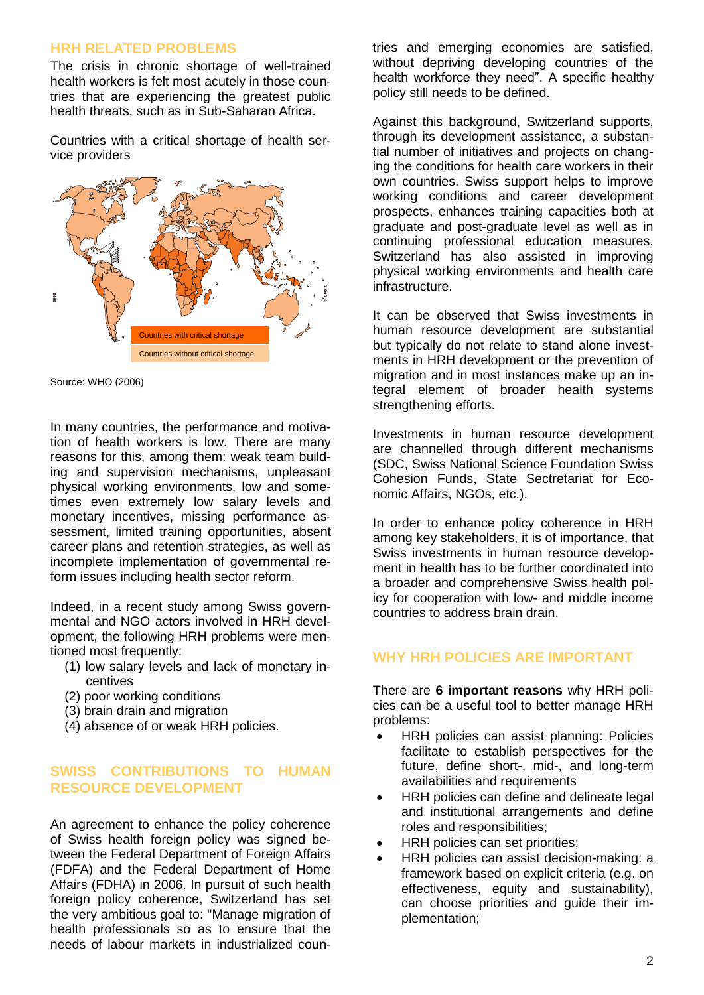#### **HRH RELATED PROBLEMS**

The crisis in chronic shortage of well-trained health workers is felt most acutely in those countries that are experiencing the greatest public health threats, such as in Sub-Saharan Africa.

Countries with a critical shortage of health service providers



Source: WHO (2006)

In many countries, the performance and motivation of health workers is low. There are many reasons for this, among them: weak team building and supervision mechanisms, unpleasant physical working environments, low and sometimes even extremely low salary levels and monetary incentives, missing performance assessment, limited training opportunities, absent career plans and retention strategies, as well as incomplete implementation of governmental reform issues including health sector reform.

Indeed, in a recent study among Swiss governmental and NGO actors involved in HRH development, the following HRH problems were mentioned most frequently:

- (1) low salary levels and lack of monetary incentives
- (2) poor working conditions
- (3) brain drain and migration
- (4) absence of or weak HRH policies.

### **SWISS CONTRIBUTIONS TO HUMAN RESOURCE DEVELOPMENT**

An agreement to enhance the policy coherence of Swiss health foreign policy was signed between the Federal Department of Foreign Affairs (FDFA) and the Federal Department of Home Affairs (FDHA) in 2006. In pursuit of such health foreign policy coherence, Switzerland has set the very ambitious goal to: "Manage migration of health professionals so as to ensure that the needs of labour markets in industrialized countries and emerging economies are satisfied, without depriving developing countries of the health workforce they need". A specific healthy policy still needs to be defined.

Against this background, Switzerland supports, through its development assistance, a substantial number of initiatives and projects on changing the conditions for health care workers in their own countries. Swiss support helps to improve working conditions and career development prospects, enhances training capacities both at graduate and post-graduate level as well as in continuing professional education measures. Switzerland has also assisted in improving physical working environments and health care infrastructure.

It can be observed that Swiss investments in human resource development are substantial but typically do not relate to stand alone investments in HRH development or the prevention of migration and in most instances make up an integral element of broader health systems strengthening efforts.

Investments in human resource development are channelled through different mechanisms (SDC, Swiss National Science Foundation Swiss Cohesion Funds, State Sectretariat for Economic Affairs, NGOs, etc.).

In order to enhance policy coherence in HRH among key stakeholders, it is of importance, that Swiss investments in human resource development in health has to be further coordinated into a broader and comprehensive Swiss health policy for cooperation with low- and middle income countries to address brain drain.

## **WHY HRH POLICIES ARE IMPORTANT**

There are **6 important reasons** why HRH policies can be a useful tool to better manage HRH problems:

- HRH policies can assist planning: Policies facilitate to establish perspectives for the future, define short-, mid-, and long-term availabilities and requirements
- HRH policies can define and delineate legal and institutional arrangements and define roles and responsibilities;
- HRH policies can set priorities;
- HRH policies can assist decision-making: a framework based on explicit criteria (e.g. on effectiveness, equity and sustainability), can choose priorities and guide their implementation;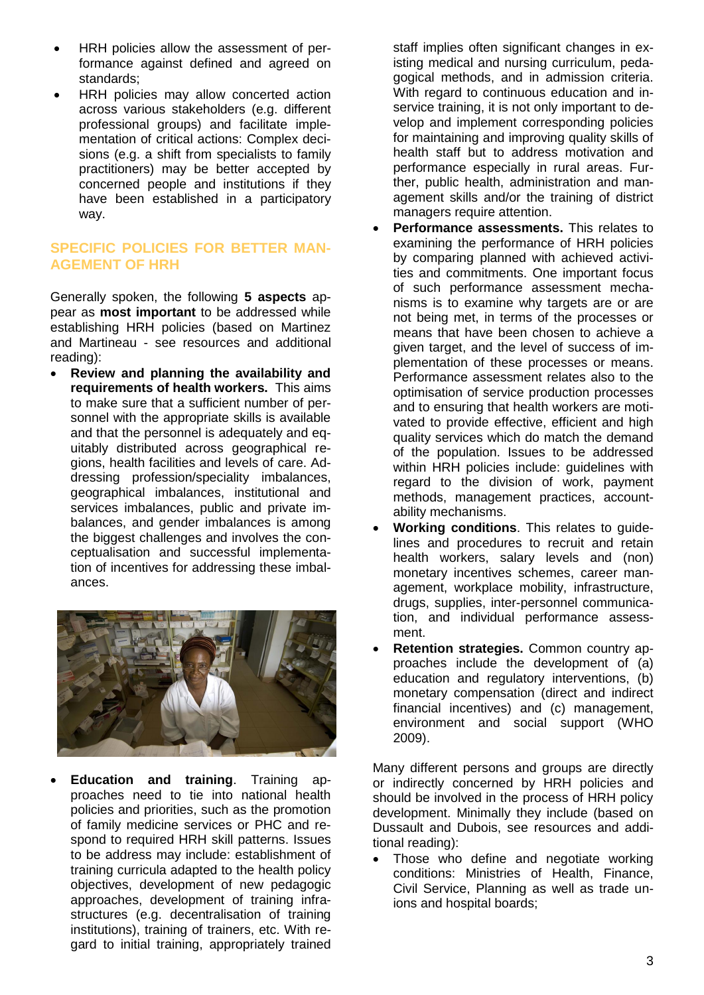- HRH policies allow the assessment of performance against defined and agreed on standards;
- HRH policies may allow concerted action across various stakeholders (e.g. different professional groups) and facilitate implementation of critical actions: Complex decisions (e.g. a shift from specialists to family practitioners) may be better accepted by concerned people and institutions if they have been established in a participatory way.

### **SPECIFIC POLICIES FOR BETTER MAN-AGEMENT OF HRH**

Generally spoken, the following **5 aspects** appear as **most important** to be addressed while establishing HRH policies (based on Martinez and Martineau - see resources and additional reading):

 **Review and planning the availability and requirements of health workers.** This aims to make sure that a sufficient number of personnel with the appropriate skills is available and that the personnel is adequately and equitably distributed across geographical regions, health facilities and levels of care. Addressing profession/speciality imbalances, geographical imbalances, institutional and services imbalances, public and private imbalances, and gender imbalances is among the biggest challenges and involves the conceptualisation and successful implementation of incentives for addressing these imbalances.



 **Education and training**. Training approaches need to tie into national health policies and priorities, such as the promotion of family medicine services or PHC and respond to required HRH skill patterns. Issues to be address may include: establishment of training curricula adapted to the health policy objectives, development of new pedagogic approaches, development of training infrastructures (e.g. decentralisation of training institutions), training of trainers, etc. With regard to initial training, appropriately trained staff implies often significant changes in existing medical and nursing curriculum, pedagogical methods, and in admission criteria. With regard to continuous education and inservice training, it is not only important to develop and implement corresponding policies for maintaining and improving quality skills of health staff but to address motivation and performance especially in rural areas. Further, public health, administration and management skills and/or the training of district managers require attention.

- **Performance assessments.** This relates to examining the performance of HRH policies by comparing planned with achieved activities and commitments. One important focus of such performance assessment mechanisms is to examine why targets are or are not being met, in terms of the processes or means that have been chosen to achieve a given target, and the level of success of implementation of these processes or means. Performance assessment relates also to the optimisation of service production processes and to ensuring that health workers are motivated to provide effective, efficient and high quality services which do match the demand of the population. Issues to be addressed within HRH policies include: guidelines with regard to the division of work, payment methods, management practices, accountability mechanisms.
- **Working conditions**. This relates to guidelines and procedures to recruit and retain health workers, salary levels and (non) monetary incentives schemes, career management, workplace mobility, infrastructure, drugs, supplies, inter-personnel communication, and individual performance assessment.
- **Retention strategies.** Common country approaches include the development of (a) education and regulatory interventions, (b) monetary compensation (direct and indirect financial incentives) and (c) management, environment and social support (WHO 2009).

Many different persons and groups are directly or indirectly concerned by HRH policies and should be involved in the process of HRH policy development. Minimally they include (based on Dussault and Dubois, see resources and additional reading):

• Those who define and negotiate working conditions: Ministries of Health, Finance, Civil Service, Planning as well as trade unions and hospital boards;